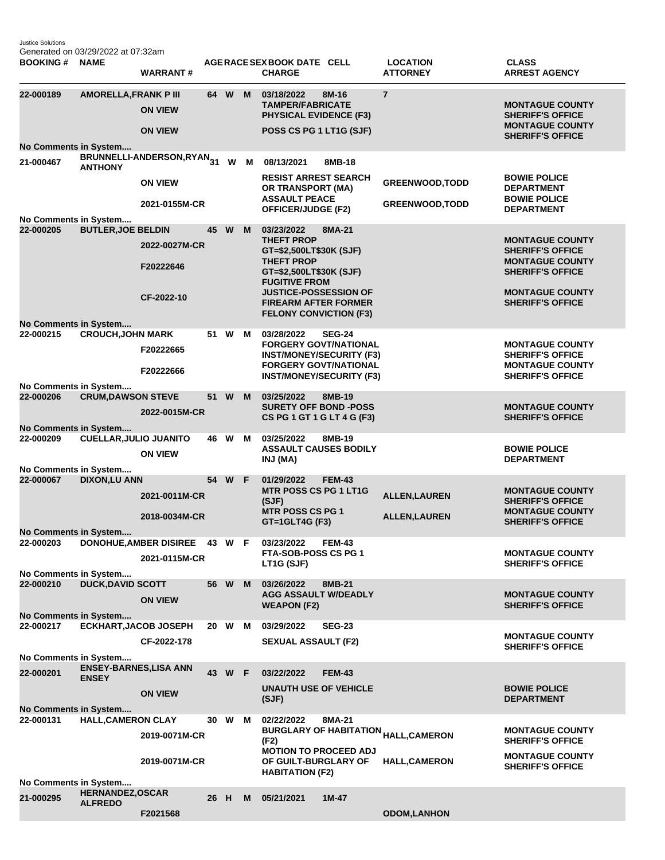Justice Solutions Generated on 03/29/2022 at 07:32am

| <b>BOOKING#</b>                                        | <b>NAME</b>                              | <b>WARRANT#</b>                                |    |        |    | AGERACE SEX BOOK DATE CELL<br><b>CHARGE</b>                                               | <b>LOCATION</b><br><b>ATTORNEY</b>               | <b>CLASS</b><br><b>ARREST AGENCY</b>                                        |  |
|--------------------------------------------------------|------------------------------------------|------------------------------------------------|----|--------|----|-------------------------------------------------------------------------------------------|--------------------------------------------------|-----------------------------------------------------------------------------|--|
| 22-000189                                              | <b>AMORELLA, FRANK P III</b>             | <b>ON VIEW</b>                                 |    | 64 W M |    | 03/18/2022<br>8M-16<br><b>TAMPER/FABRICATE</b><br><b>PHYSICAL EVIDENCE (F3)</b>           | $\overline{7}$                                   | <b>MONTAGUE COUNTY</b><br><b>SHERIFF'S OFFICE</b><br><b>MONTAGUE COUNTY</b> |  |
| No Comments in System                                  |                                          | <b>ON VIEW</b>                                 |    |        |    | POSS CS PG 1 LT1G (SJF)                                                                   |                                                  | <b>SHERIFF'S OFFICE</b>                                                     |  |
| 21-000467                                              | <b>ANTHONY</b>                           | BRUNNELLI-ANDERSON,RYAN <sub>31</sub>          |    | W      | M  | 08/13/2021<br>8MB-18                                                                      |                                                  |                                                                             |  |
|                                                        |                                          | <b>ON VIEW</b><br>2021-0155M-CR                |    |        |    | <b>RESIST ARREST SEARCH</b><br>OR TRANSPORT (MA)<br><b>ASSAULT PEACE</b>                  | <b>GREENWOOD, TODD</b><br><b>GREENWOOD, TODD</b> | <b>BOWIE POLICE</b><br><b>DEPARTMENT</b><br><b>BOWIE POLICE</b>             |  |
| No Comments in System                                  |                                          |                                                |    |        |    | OFFICER/JUDGE (F2)                                                                        |                                                  | <b>DEPARTMENT</b>                                                           |  |
| 22-000205                                              | <b>BUTLER, JOE BELDIN</b>                | 2022-0027M-CR                                  | 45 | W      | M  | 03/23/2022<br>8MA-21<br><b>THEFT PROP</b><br>GT=\$2,500LT\$30K (SJF)<br><b>THEFT PROP</b> |                                                  | <b>MONTAGUE COUNTY</b><br><b>SHERIFF'S OFFICE</b><br><b>MONTAGUE COUNTY</b> |  |
|                                                        |                                          | F20222646<br>CF-2022-10                        |    |        |    | GT=\$2,500LT\$30K (SJF)<br><b>FUGITIVE FROM</b><br><b>JUSTICE-POSSESSION OF</b>           |                                                  | <b>SHERIFF'S OFFICE</b><br><b>MONTAGUE COUNTY</b>                           |  |
|                                                        |                                          |                                                |    |        |    | <b>FIREARM AFTER FORMER</b><br><b>FELONY CONVICTION (F3)</b>                              |                                                  | <b>SHERIFF'S OFFICE</b>                                                     |  |
| No Comments in System<br>22-000215                     | <b>CROUCH, JOHN MARK</b>                 |                                                |    | 51 W   | М  | 03/28/2022<br><b>SEG-24</b>                                                               |                                                  |                                                                             |  |
|                                                        |                                          | F20222665                                      |    |        |    | <b>FORGERY GOVT/NATIONAL</b><br><b>INST/MONEY/SECURITY (F3)</b>                           |                                                  | <b>MONTAGUE COUNTY</b><br><b>SHERIFF'S OFFICE</b>                           |  |
|                                                        |                                          | F20222666                                      |    |        |    | <b>FORGERY GOVT/NATIONAL</b><br><b>INST/MONEY/SECURITY (F3)</b>                           |                                                  | <b>MONTAGUE COUNTY</b><br><b>SHERIFF'S OFFICE</b>                           |  |
| No Comments in System<br>22-000206                     | <b>CRUM, DAWSON STEVE</b>                |                                                | 51 | W      | M  | 03/25/2022<br>8MB-19                                                                      |                                                  |                                                                             |  |
| No Comments in System                                  |                                          | 2022-0015M-CR                                  |    |        |    | <b>SURETY OFF BOND -POSS</b><br>CS PG 1 GT 1 G LT 4 G (F3)                                |                                                  | <b>MONTAGUE COUNTY</b><br><b>SHERIFF'S OFFICE</b>                           |  |
| 22-000209                                              | <b>CUELLAR, JULIO JUANITO</b>            | <b>ON VIEW</b>                                 |    | 46 W   | М  | 03/25/2022<br>8MB-19<br><b>ASSAULT CAUSES BODILY</b><br>INJ (MA)                          |                                                  | <b>BOWIE POLICE</b><br><b>DEPARTMENT</b>                                    |  |
| No Comments in System<br>22-000067                     | <b>DIXON,LU ANN</b>                      |                                                |    | 54 W F |    | 01/29/2022<br><b>FEM-43</b>                                                               |                                                  |                                                                             |  |
|                                                        |                                          | 2021-0011M-CR                                  |    |        |    | <b>MTR POSS CS PG 1 LT1G</b><br>(SJF)                                                     | <b>ALLEN, LAUREN</b>                             | <b>MONTAGUE COUNTY</b><br><b>SHERIFF'S OFFICE</b>                           |  |
| No Comments in System                                  |                                          | 2018-0034M-CR                                  |    |        |    | <b>MTR POSS CS PG 1</b><br>GT=1GLT4G (F3)                                                 | <b>ALLEN, LAUREN</b>                             | <b>MONTAGUE COUNTY</b><br><b>SHERIFF'S OFFICE</b>                           |  |
| 22-000203                                              |                                          | <b>DONOHUE, AMBER DISIREE</b><br>2021-0115M-CR |    | 43 W   | -F | 03/23/2022<br><b>FEM-43</b><br>FTA-SOB-POSS CS PG 1<br>LT1G (SJF)                         |                                                  | <b>MONTAGUE COUNTY</b><br><b>SHERIFF'S OFFICE</b>                           |  |
| No Comments in System                                  |                                          |                                                |    |        |    |                                                                                           |                                                  |                                                                             |  |
| 22-000210                                              | <b>DUCK, DAVID SCOTT</b>                 | <b>ON VIEW</b>                                 |    | 56 W M |    | 03/26/2022<br>8MB-21<br><b>AGG ASSAULT W/DEADLY</b><br><b>WEAPON (F2)</b>                 |                                                  | <b>MONTAGUE COUNTY</b><br><b>SHERIFF'S OFFICE</b>                           |  |
| No Comments in System<br>22-000217                     | <b>ECKHART, JACOB JOSEPH</b>             |                                                |    | 20 W M |    | 03/29/2022<br><b>SEG-23</b>                                                               |                                                  |                                                                             |  |
|                                                        |                                          | CF-2022-178                                    |    |        |    | <b>SEXUAL ASSAULT (F2)</b>                                                                |                                                  | <b>MONTAGUE COUNTY</b><br><b>SHERIFF'S OFFICE</b>                           |  |
| No Comments in System<br><b>ENSEY-BARNES, LISA ANN</b> |                                          |                                                |    |        |    |                                                                                           |                                                  |                                                                             |  |
| 22-000201                                              | <b>ENSEY</b>                             | <b>ON VIEW</b>                                 |    | 43 W F |    | 03/22/2022<br><b>FEM-43</b><br><b>UNAUTH USE OF VEHICLE</b>                               |                                                  | <b>BOWIE POLICE</b>                                                         |  |
| No Comments in System                                  |                                          |                                                |    |        |    | (SJF)                                                                                     |                                                  | <b>DEPARTMENT</b>                                                           |  |
| 22-000131                                              | <b>HALL, CAMERON CLAY</b>                | 2019-0071M-CR                                  |    | 30 W   | M  | 02/22/2022<br>8MA-21<br><b>BURGLARY OF HABITATION <sub>HALL,CAMERON</sub></b><br>(F2)     |                                                  | <b>MONTAGUE COUNTY</b><br><b>SHERIFF'S OFFICE</b>                           |  |
|                                                        |                                          | 2019-0071M-CR                                  |    |        |    | <b>MOTION TO PROCEED ADJ</b><br>OF GUILT-BURGLARY OF                                      | <b>HALL, CAMERON</b>                             | <b>MONTAGUE COUNTY</b><br><b>SHERIFF'S OFFICE</b>                           |  |
| No Comments in System                                  |                                          |                                                |    |        |    | <b>HABITATION (F2)</b>                                                                    |                                                  |                                                                             |  |
| 21-000295                                              | <b>HERNANDEZ,OSCAR</b><br><b>ALFREDO</b> |                                                |    | 26 H   | M  | $1M-47$<br>05/21/2021                                                                     |                                                  |                                                                             |  |
|                                                        |                                          | F2021568                                       |    |        |    |                                                                                           | <b>ODOM, LANHON</b>                              |                                                                             |  |
|                                                        |                                          |                                                |    |        |    |                                                                                           |                                                  |                                                                             |  |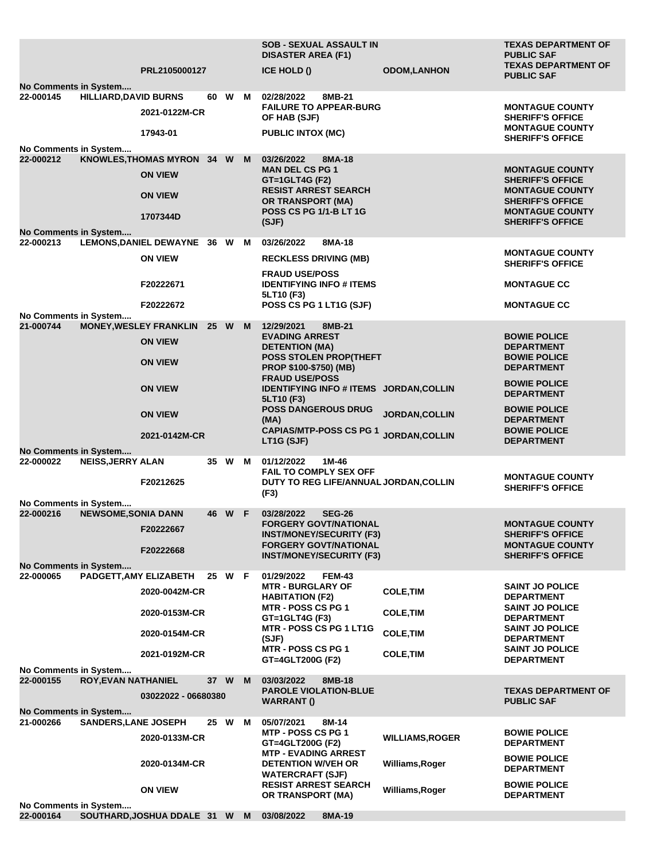|                                                              |                              |                                                 |        |        |                                               | <b>SOB - SEXUAL ASSAULT IN</b><br><b>DISASTER AREA (F1)</b>                         |                                         | <b>TEXAS DEPARTMENT OF</b><br><b>PUBLIC SAF</b>               |  |
|--------------------------------------------------------------|------------------------------|-------------------------------------------------|--------|--------|-----------------------------------------------|-------------------------------------------------------------------------------------|-----------------------------------------|---------------------------------------------------------------|--|
|                                                              |                              | PRL2105000127                                   |        |        |                                               | ICE HOLD ()                                                                         | <b>ODOM,LANHON</b>                      | <b>TEXAS DEPARTMENT OF</b><br><b>PUBLIC SAF</b>               |  |
| <b>No Comments in System</b>                                 |                              |                                                 |        |        |                                               | 8MB-21                                                                              |                                         |                                                               |  |
| 22-000145                                                    | <b>HILLIARD, DAVID BURNS</b> | 2021-0122M-CR                                   |        | 60 W   | M                                             | 02/28/2022<br><b>FAILURE TO APPEAR-BURG</b><br>OF HAB (SJF)                         |                                         | <b>MONTAGUE COUNTY</b><br><b>SHERIFF'S OFFICE</b>             |  |
|                                                              |                              | 17943-01                                        |        |        |                                               | <b>PUBLIC INTOX (MC)</b>                                                            |                                         | <b>MONTAGUE COUNTY</b><br><b>SHERIFF'S OFFICE</b>             |  |
| No Comments in System<br>22-000212                           |                              | KNOWLES, THOMAS MYRON 34 W M                    |        |        |                                               | 03/26/2022<br>8MA-18                                                                |                                         |                                                               |  |
|                                                              |                              | <b>ON VIEW</b>                                  |        |        |                                               | <b>MAN DEL CS PG 1</b><br><b>GT=1GLT4G (F2)</b>                                     |                                         | <b>MONTAGUE COUNTY</b><br><b>SHERIFF'S OFFICE</b>             |  |
|                                                              |                              | <b>ON VIEW</b>                                  |        |        |                                               | <b>RESIST ARREST SEARCH</b><br><b>OR TRANSPORT (MA)</b>                             |                                         | <b>MONTAGUE COUNTY</b><br><b>SHERIFF'S OFFICE</b>             |  |
| No Comments in System                                        |                              | 1707344D                                        |        |        |                                               | <b>POSS CS PG 1/1-B LT 1G</b><br>(SJF)                                              |                                         | <b>MONTAGUE COUNTY</b><br><b>SHERIFF'S OFFICE</b>             |  |
| 22-000213                                                    |                              | LEMONS, DANIEL DEWAYNE 36 W M                   |        |        |                                               | 03/26/2022<br>8MA-18                                                                |                                         |                                                               |  |
|                                                              |                              | <b>ON VIEW</b>                                  |        |        |                                               | <b>RECKLESS DRIVING (MB)</b>                                                        |                                         | <b>MONTAGUE COUNTY</b><br><b>SHERIFF'S OFFICE</b>             |  |
|                                                              |                              | F20222671                                       |        |        |                                               | <b>FRAUD USE/POSS</b><br><b>IDENTIFYING INFO # ITEMS</b><br>5LT10 (F3)              |                                         | <b>MONTAGUE CC</b>                                            |  |
|                                                              |                              | F20222672                                       |        |        |                                               | POSS CS PG 1 LT1G (SJF)                                                             |                                         | <b>MONTAGUE CC</b>                                            |  |
| No Comments in System                                        |                              |                                                 |        |        |                                               |                                                                                     |                                         |                                                               |  |
| 21-000744                                                    |                              | <b>MONEY, WESLEY FRANKLIN</b><br><b>ON VIEW</b> | 25 W M |        | 12/29/2021<br>8MB-21<br><b>EVADING ARREST</b> |                                                                                     | <b>BOWIE POLICE</b>                     |                                                               |  |
|                                                              |                              | <b>ON VIEW</b>                                  |        |        |                                               | <b>DETENTION (MA)</b><br><b>POSS STOLEN PROP(THEFT</b><br>PROP \$100-\$750) (MB)    |                                         | <b>DEPARTMENT</b><br><b>BOWIE POLICE</b><br><b>DEPARTMENT</b> |  |
|                                                              |                              | <b>ON VIEW</b>                                  |        |        |                                               | <b>FRAUD USE/POSS</b>                                                               | IDENTIFYING INFO # ITEMS JORDAN, COLLIN | <b>BOWIE POLICE</b><br><b>DEPARTMENT</b>                      |  |
|                                                              |                              | <b>ON VIEW</b>                                  |        |        |                                               | 5LT10 (F3)<br><b>POSS DANGEROUS DRUG</b><br>(MA)                                    | <b>JORDAN, COLLIN</b>                   | <b>BOWIE POLICE</b><br><b>DEPARTMENT</b>                      |  |
|                                                              |                              | 2021-0142M-CR                                   |        |        |                                               | <b>CAPIAS/MTP-POSS CS PG 1</b><br>LT1G (SJF)                                        | <b>JORDAN, COLLIN</b>                   | <b>BOWIE POLICE</b><br><b>DEPARTMENT</b>                      |  |
| <b>No Comments in System</b>                                 |                              |                                                 |        |        |                                               |                                                                                     |                                         |                                                               |  |
| 22-000022                                                    | <b>NEISS, JERRY ALAN</b>     | F20212625                                       |        | 35 W   | M                                             | 01/12/2022<br>1M-46<br><b>FAIL TO COMPLY SEX OFF</b>                                | DUTY TO REG LIFE/ANNUAL JORDAN, COLLIN  | <b>MONTAGUE COUNTY</b>                                        |  |
|                                                              |                              |                                                 |        |        |                                               | (F3)                                                                                |                                         | <b>SHERIFF'S OFFICE</b>                                       |  |
| No Comments in System                                        |                              |                                                 |        |        |                                               |                                                                                     |                                         |                                                               |  |
| 22-000216                                                    | <b>NEWSOME, SONIA DANN</b>   | F20222667                                       |        | 46 W F |                                               | 03/28/2022<br><b>SEG-26</b><br><b>FORGERY GOVT/NATIONAL</b>                         |                                         | <b>MONTAGUE COUNTY</b>                                        |  |
|                                                              |                              |                                                 |        |        |                                               | <b>INST/MONEY/SECURITY (F3)</b><br><b>FORGERY GOVT/NATIONAL</b>                     |                                         | <b>SHERIFF'S OFFICE</b><br><b>MONTAGUE COUNTY</b>             |  |
|                                                              |                              | F20222668                                       |        |        |                                               | <b>INST/MONEY/SECURITY (F3)</b>                                                     |                                         | <b>SHERIFF'S OFFICE</b>                                       |  |
| <b>No Comments in System</b><br>22-000065                    |                              | PADGETT, AMY ELIZABETH                          |        | 25 W F |                                               |                                                                                     |                                         |                                                               |  |
|                                                              |                              | 2020-0042M-CR                                   |        |        |                                               | 01/29/2022<br><b>FEM-43</b><br><b>MTR - BURGLARY OF</b><br><b>HABITATION (F2)</b>   | <b>COLE, TIM</b>                        | <b>SAINT JO POLICE</b><br><b>DEPARTMENT</b>                   |  |
|                                                              |                              | 2020-0153M-CR                                   |        |        |                                               | <b>MTR - POSS CS PG 1</b><br>GT=1GLT4G (F3)                                         | <b>COLE, TIM</b>                        | <b>SAINT JO POLICE</b><br><b>DEPARTMENT</b>                   |  |
|                                                              |                              | 2020-0154M-CR                                   |        |        |                                               | MTR - POSS CS PG 1 LT1G<br>(SJF)                                                    | <b>COLE, TIM</b>                        | <b>SAINT JO POLICE</b><br><b>DEPARTMENT</b>                   |  |
|                                                              |                              | 2021-0192M-CR                                   |        |        |                                               | <b>MTR - POSS CS PG 1</b><br>GT=4GLT200G (F2)                                       | <b>COLE, TIM</b>                        | <b>SAINT JO POLICE</b><br><b>DEPARTMENT</b>                   |  |
| No Comments in System<br><b>ROY, EVAN NATHANIEL</b>          |                              |                                                 |        |        |                                               |                                                                                     |                                         |                                                               |  |
| 22-000155                                                    |                              |                                                 | 37 W   |        | M                                             | 03/03/2022<br>8MB-18<br><b>PAROLE VIOLATION-BLUE</b>                                |                                         | <b>TEXAS DEPARTMENT OF</b>                                    |  |
| 03022022 - 06680380<br><b>WARRANT()</b><br><b>PUBLIC SAF</b> |                              |                                                 |        |        |                                               |                                                                                     |                                         |                                                               |  |
| No Comments in System<br>21-000266                           | <b>SANDERS, LANE JOSEPH</b>  |                                                 |        | 25 W M |                                               | 05/07/2021<br>8M-14                                                                 |                                         |                                                               |  |
|                                                              |                              | 2020-0133M-CR                                   |        |        |                                               | MTP - POSS CS PG 1<br>GT=4GLT200G (F2)                                              | <b>WILLIAMS, ROGER</b>                  | <b>BOWIE POLICE</b><br><b>DEPARTMENT</b>                      |  |
|                                                              |                              | 2020-0134M-CR                                   |        |        |                                               | <b>MTP - EVADING ARREST</b><br><b>DETENTION W/VEH OR</b><br><b>WATERCRAFT (SJF)</b> | Williams, Roger                         | <b>BOWIE POLICE</b><br><b>DEPARTMENT</b>                      |  |
|                                                              |                              | <b>ON VIEW</b>                                  |        |        |                                               | <b>RESIST ARREST SEARCH</b><br>OR TRANSPORT (MA)                                    | Williams, Roger                         | <b>BOWIE POLICE</b><br><b>DEPARTMENT</b>                      |  |
| No Comments in System                                        |                              | SOUTHARD, JOSHUA DDALE 31 W M 03/08/2022        |        |        |                                               |                                                                                     |                                         |                                                               |  |
| 22-000164                                                    |                              |                                                 |        |        |                                               | 8MA-19                                                                              |                                         |                                                               |  |